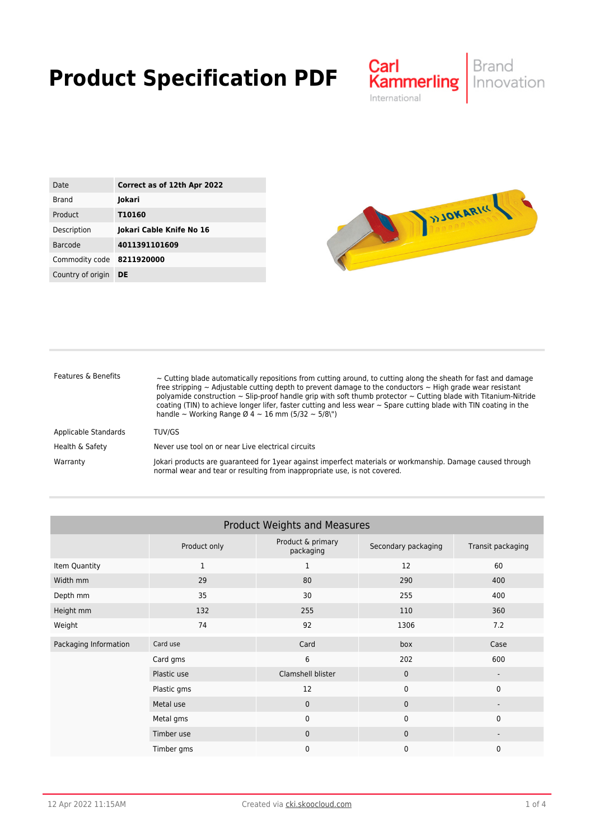## **Product Specification PDF**



| Date              | Correct as of 12th Apr 2022 |
|-------------------|-----------------------------|
| <b>Brand</b>      | Jokari                      |
| Product           | <b>T10160</b>               |
| Description       | Jokari Cable Knife No 16    |
| Barcode           | 4011391101609               |
| Commodity code    | 8211920000                  |
| Country of origin | DE                          |



| Features & Benefits  | $\sim$ Cutting blade automatically repositions from cutting around, to cutting along the sheath for fast and damage<br>free stripping $\sim$ Adjustable cutting depth to prevent damage to the conductors $\sim$ High grade wear resistant<br>polyamide construction $\sim$ Slip-proof handle grip with soft thumb protector $\sim$ Cutting blade with Titanium-Nitride<br>coating (TIN) to achieve longer lifer, faster cutting and less wear $\sim$ Spare cutting blade with TIN coating in the<br>handle ~ Working Range $\varnothing$ 4 ~ 16 mm (5/32 ~ 5/8\") |
|----------------------|--------------------------------------------------------------------------------------------------------------------------------------------------------------------------------------------------------------------------------------------------------------------------------------------------------------------------------------------------------------------------------------------------------------------------------------------------------------------------------------------------------------------------------------------------------------------|
| Applicable Standards | TUV/GS                                                                                                                                                                                                                                                                                                                                                                                                                                                                                                                                                             |
| Health & Safety      | Never use tool on or near Live electrical circuits                                                                                                                                                                                                                                                                                                                                                                                                                                                                                                                 |
| Warranty             | Jokari products are quaranteed for 1year against imperfect materials or workmanship. Damage caused through<br>normal wear and tear or resulting from inappropriate use, is not covered.                                                                                                                                                                                                                                                                                                                                                                            |

| <b>Product Weights and Measures</b> |              |                                |                     |                   |  |
|-------------------------------------|--------------|--------------------------------|---------------------|-------------------|--|
|                                     | Product only | Product & primary<br>packaging | Secondary packaging | Transit packaging |  |
| Item Quantity                       | $\mathbf{1}$ | $\mathbf{1}$                   | 12                  | 60                |  |
| Width mm                            | 29           | 80                             | 290                 | 400               |  |
| Depth mm                            | 35           | 30                             | 255                 | 400               |  |
| Height mm                           | 132          | 255                            | 110                 | 360               |  |
| Weight                              | 74           | 92                             | 1306                | 7.2               |  |
| Packaging Information               | Card use     | Card                           | box                 | Case              |  |
|                                     | Card gms     | 6                              | 202                 | 600               |  |
|                                     | Plastic use  | Clamshell blister              | $\mathbf{0}$        | -                 |  |
|                                     | Plastic gms  | 12                             | 0                   | $\mathbf 0$       |  |
|                                     | Metal use    | $\mathbf{0}$                   | $\mathbf{0}$        |                   |  |
|                                     | Metal gms    | $\mathbf 0$                    | 0                   | $\Omega$          |  |
|                                     | Timber use   | $\mathbf{0}$                   | $\mathbf{0}$        |                   |  |
|                                     | Timber gms   | $\Omega$                       | 0                   | $\mathbf 0$       |  |